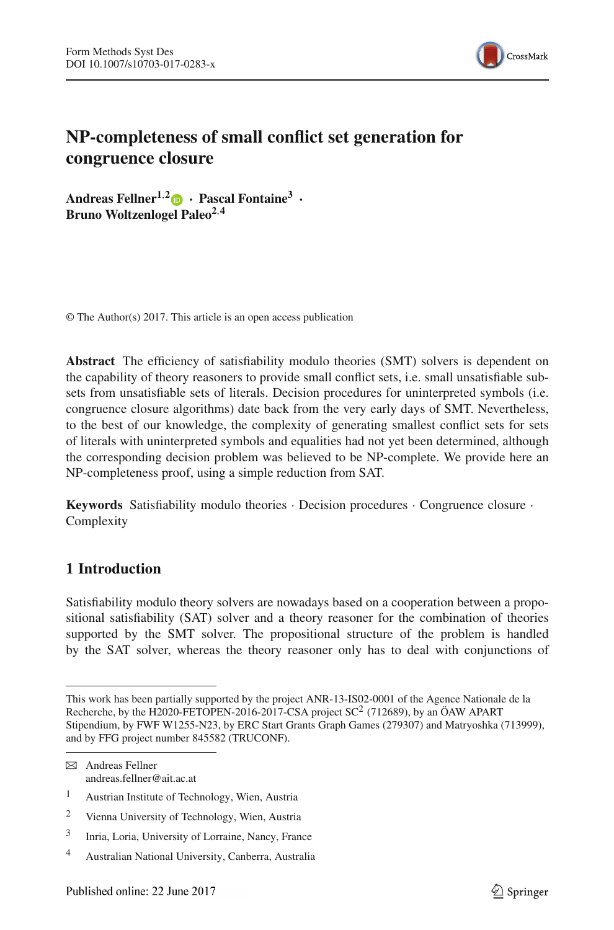

# **NP-completeness of small conflict set generation for congruence closure**

Andreas Fellner<sup>1,[2](http://orcid.org/0000-0002-3618-2251)</sup> $\bullet$  **·** Pascal Fontaine<sup>3</sup> **· Bruno Woltzenlogel Paleo2**,**<sup>4</sup>**

© The Author(s) 2017. This article is an open access publication

**Abstract** The efficiency of satisfiability modulo theories (SMT) solvers is dependent on the capability of theory reasoners to provide small conflict sets, i.e. small unsatisfiable subsets from unsatisfiable sets of literals. Decision procedures for uninterpreted symbols (i.e. congruence closure algorithms) date back from the very early days of SMT. Nevertheless, to the best of our knowledge, the complexity of generating smallest conflict sets for sets of literals with uninterpreted symbols and equalities had not yet been determined, although the corresponding decision problem was believed to be NP-complete. We provide here an NP-completeness proof, using a simple reduction from SAT.

**Keywords** Satisfiability modulo theories · Decision procedures · Congruence closure · Complexity

## **1 Introduction**

Satisfiability modulo theory solvers are nowadays based on a cooperation between a propositional satisfiability (SAT) solver and a theory reasoner for the combination of theories supported by the SMT solver. The propositional structure of the problem is handled by the SAT solver, whereas the theory reasoner only has to deal with conjunctions of

This work has been partially supported by the project ANR-13-IS02-0001 of the Agence Nationale de la Recherche, by the H2020-FETOPEN-2016-2017-CSA project  $SC^2$  (712689), by an ÖAW APART Stipendium, by FWF W1255-N23, by ERC Start Grants Graph Games (279307) and Matryoshka (713999), and by FFG project number 845582 (TRUCONF).

 $\boxtimes$  Andreas Fellner andreas.fellner@ait.ac.at

<sup>1</sup> Austrian Institute of Technology, Wien, Austria

<sup>2</sup> Vienna University of Technology, Wien, Austria

<sup>3</sup> Inria, Loria, University of Lorraine, Nancy, France

<sup>4</sup> Australian National University, Canberra, Australia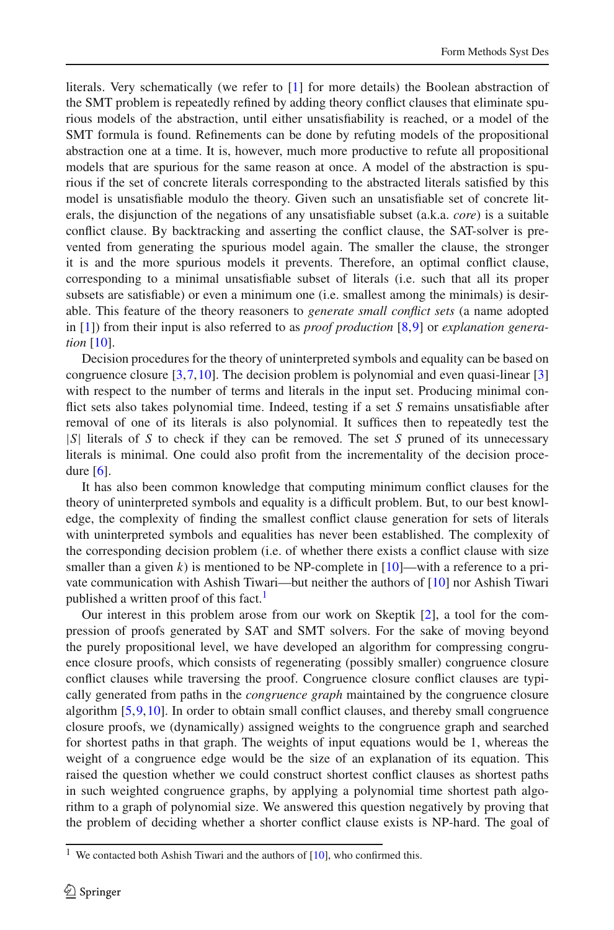literals. Very schematically (we refer to [\[1\]](#page-11-0) for more details) the Boolean abstraction of the SMT problem is repeatedly refined by adding theory conflict clauses that eliminate spurious models of the abstraction, until either unsatisfiability is reached, or a model of the SMT formula is found. Refinements can be done by refuting models of the propositional abstraction one at a time. It is, however, much more productive to refute all propositional models that are spurious for the same reason at once. A model of the abstraction is spurious if the set of concrete literals corresponding to the abstracted literals satisfied by this model is unsatisfiable modulo the theory. Given such an unsatisfiable set of concrete literals, the disjunction of the negations of any unsatisfiable subset (a.k.a. *core*) is a suitable conflict clause. By backtracking and asserting the conflict clause, the SAT-solver is prevented from generating the spurious model again. The smaller the clause, the stronger it is and the more spurious models it prevents. Therefore, an optimal conflict clause, corresponding to a minimal unsatisfiable subset of literals (i.e. such that all its proper subsets are satisfiable) or even a minimum one (i.e. smallest among the minimals) is desirable. This feature of the theory reasoners to *generate small conflict sets* (a name adopted in [\[1](#page-11-0)]) from their input is also referred to as *proof production* [\[8](#page-11-1)[,9](#page-11-2)] or *explanation generation* [\[10\]](#page-11-3).

Decision procedures for the theory of uninterpreted symbols and equality can be based on congruence closure [\[3](#page-11-4)[,7,](#page-11-5)[10](#page-11-3)]. The decision problem is polynomial and even quasi-linear [\[3\]](#page-11-4) with respect to the number of terms and literals in the input set. Producing minimal conflict sets also takes polynomial time. Indeed, testing if a set *S* remains unsatisfiable after removal of one of its literals is also polynomial. It suffices then to repeatedly test the |*S*| literals of *S* to check if they can be removed. The set *S* pruned of its unnecessary literals is minimal. One could also profit from the incrementality of the decision procedure  $[6]$  $[6]$ .

It has also been common knowledge that computing minimum conflict clauses for the theory of uninterpreted symbols and equality is a difficult problem. But, to our best knowledge, the complexity of finding the smallest conflict clause generation for sets of literals with uninterpreted symbols and equalities has never been established. The complexity of the corresponding decision problem (i.e. of whether there exists a conflict clause with size smaller than a given  $k$ ) is mentioned to be NP-complete in  $[10]$ —with a reference to a private communication with Ashish Tiwari—but neither the authors of [\[10\]](#page-11-3) nor Ashish Tiwari published a written proof of this fact.<sup>1</sup>

Our interest in this problem arose from our work on Skeptik [\[2\]](#page-11-7), a tool for the compression of proofs generated by SAT and SMT solvers. For the sake of moving beyond the purely propositional level, we have developed an algorithm for compressing congruence closure proofs, which consists of regenerating (possibly smaller) congruence closure conflict clauses while traversing the proof. Congruence closure conflict clauses are typically generated from paths in the *congruence graph* maintained by the congruence closure algorithm [\[5,](#page-11-8)[9](#page-11-2)[,10\]](#page-11-3). In order to obtain small conflict clauses, and thereby small congruence closure proofs, we (dynamically) assigned weights to the congruence graph and searched for shortest paths in that graph. The weights of input equations would be 1, whereas the weight of a congruence edge would be the size of an explanation of its equation. This raised the question whether we could construct shortest conflict clauses as shortest paths in such weighted congruence graphs, by applying a polynomial time shortest path algorithm to a graph of polynomial size. We answered this question negatively by proving that the problem of deciding whether a shorter conflict clause exists is NP-hard. The goal of

<span id="page-1-0"></span><sup>&</sup>lt;sup>1</sup> We contacted both Ashish Tiwari and the authors of [\[10](#page-11-3)], who confirmed this.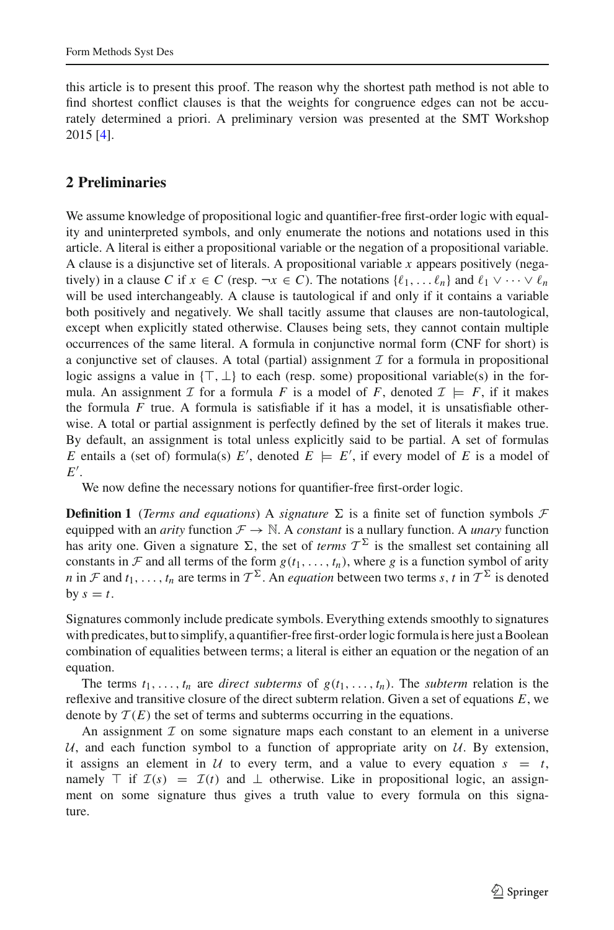this article is to present this proof. The reason why the shortest path method is not able to find shortest conflict clauses is that the weights for congruence edges can not be accurately determined a priori. A preliminary version was presented at the SMT Workshop 2015 [\[4](#page-11-9)].

# **2 Preliminaries**

We assume knowledge of propositional logic and quantifier-free first-order logic with equality and uninterpreted symbols, and only enumerate the notions and notations used in this article. A literal is either a propositional variable or the negation of a propositional variable. A clause is a disjunctive set of literals. A propositional variable *x* appears positively (negatively) in a clause *C* if  $x \in C$  (resp.  $\neg x \in C$ ). The notations  $\{\ell_1, \ldots \ell_n\}$  and  $\ell_1 \vee \cdots \vee \ell_n$ will be used interchangeably. A clause is tautological if and only if it contains a variable both positively and negatively. We shall tacitly assume that clauses are non-tautological, except when explicitly stated otherwise. Clauses being sets, they cannot contain multiple occurrences of the same literal. A formula in conjunctive normal form (CNF for short) is a conjunctive set of clauses. A total (partial) assignment  $\mathcal I$  for a formula in propositional logic assigns a value in  $\{\top, \bot\}$  to each (resp. some) propositional variable(s) in the formula. An assignment *I* for a formula *F* is a model of *F*, denoted  $I \models F$ , if it makes the formula  $F$  true. A formula is satisfiable if it has a model, it is unsatisfiable otherwise. A total or partial assignment is perfectly defined by the set of literals it makes true. By default, an assignment is total unless explicitly said to be partial. A set of formulas *E* entails a (set of) formula(s)  $E'$ , denoted  $E \models E'$ , if every model of *E* is a model of *E* .

We now define the necessary notions for quantifier-free first-order logic.

**Definition 1** (*Terms and equations*) A *signature*  $\Sigma$  is a finite set of function symbols  $\mathcal F$ equipped with an *arity* function  $\mathcal{F} \to \mathbb{N}$ . A *constant* is a nullary function. A *unary* function has arity one. Given a signature  $\Sigma$ , the set of *terms*  $\mathcal{T}^{\Sigma}$  is the smallest set containing all constants in *F* and all terms of the form  $g(t_1, \ldots, t_n)$ , where *g* is a function symbol of arity *n* in *F* and *t*<sub>1</sub>,..., *t<sub>n</sub>* are terms in  $T^{\Sigma}$ . An *equation* between two terms *s*, *t* in  $T^{\Sigma}$  is denoted by  $s = t$ .

Signatures commonly include predicate symbols. Everything extends smoothly to signatures with predicates, but to simplify, a quantifier-free first-order logic formula is here just a Boolean combination of equalities between terms; a literal is either an equation or the negation of an equation.

The terms  $t_1, \ldots, t_n$  are *direct subterms* of  $g(t_1, \ldots, t_n)$ . The *subterm* relation is the reflexive and transitive closure of the direct subterm relation. Given a set of equations *E*, we denote by  $\mathcal{T}(E)$  the set of terms and subterms occurring in the equations.

An assignment  $I$  on some signature maps each constant to an element in a universe  $U$ , and each function symbol to a function of appropriate arity on  $U$ . By extension, it assigns an element in  $U$  to every term, and a value to every equation  $s = t$ , namely  $\top$  if  $\mathcal{I}(s) = \mathcal{I}(t)$  and  $\bot$  otherwise. Like in propositional logic, an assignment on some signature thus gives a truth value to every formula on this signature.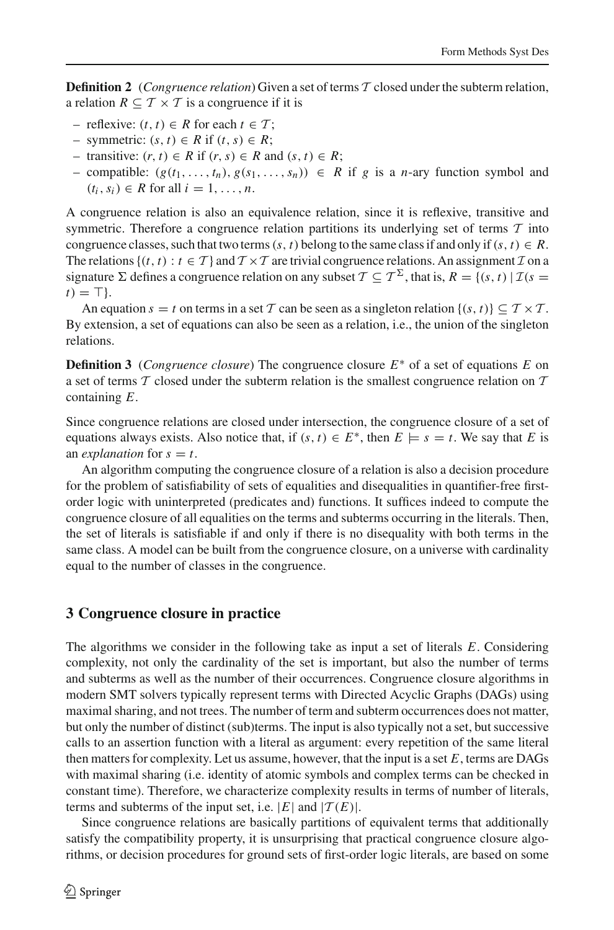**Definition 2** (*Congruence relation*) Given a set of terms *T* closed under the subterm relation, a relation  $R \subseteq T \times T$  is a congruence if it is

- reflexive: (*t*, *t*) ∈ *R* for each *t* ∈ *T* ;
- symmetric: (*s*, *t*) ∈ *R* if (*t*,*s*) ∈ *R*;
- transitive: (*r*, *t*) ∈ *R* if (*r*,*s*) ∈ *R* and (*s*, *t*) ∈ *R*;
- compatible:  $(g(t_1, ..., t_n), g(s_1, ..., s_n))$  ∈ *R* if *g* is a *n*-ary function symbol and  $(t_i, s_i) \in R$  for all  $i = 1, \ldots, n$ .

A congruence relation is also an equivalence relation, since it is reflexive, transitive and symmetric. Therefore a congruence relation partitions its underlying set of terms *T* into congruence classes, such that two terms  $(s, t)$  belong to the same class if and only if  $(s, t) \in R$ . The relations  $\{(t, t) : t \in \mathcal{T}\}\$  and  $\mathcal{T} \times \mathcal{T}$  are trivial congruence relations. An assignment  $\mathcal{I}$  on a signature  $\Sigma$  defines a congruence relation on any subset  $\mathcal{T} \subseteq \mathcal{T}^{\Sigma}$ , that is,  $R = \{(s, t) | \mathcal{I}(s =$  $t$ ) =  $\top$  }.

An equation  $s = t$  on terms in a set T can be seen as a singleton relation  $\{(s, t)\}\subseteq T\times T$ . By extension, a set of equations can also be seen as a relation, i.e., the union of the singleton relations.

**Definition 3** (*Congruence closure*) The congruence closure *E*∗ of a set of equations *E* on a set of terms *T* closed under the subterm relation is the smallest congruence relation on *T* containing *E*.

Since congruence relations are closed under intersection, the congruence closure of a set of equations always exists. Also notice that, if  $(s, t) \in E^*$ , then  $E \models s = t$ . We say that *E* is an *explanation* for  $s = t$ .

An algorithm computing the congruence closure of a relation is also a decision procedure for the problem of satisfiability of sets of equalities and disequalities in quantifier-free firstorder logic with uninterpreted (predicates and) functions. It suffices indeed to compute the congruence closure of all equalities on the terms and subterms occurring in the literals. Then, the set of literals is satisfiable if and only if there is no disequality with both terms in the same class. A model can be built from the congruence closure, on a universe with cardinality equal to the number of classes in the congruence.

#### **3 Congruence closure in practice**

The algorithms we consider in the following take as input a set of literals *E*. Considering complexity, not only the cardinality of the set is important, but also the number of terms and subterms as well as the number of their occurrences. Congruence closure algorithms in modern SMT solvers typically represent terms with Directed Acyclic Graphs (DAGs) using maximal sharing, and not trees. The number of term and subterm occurrences does not matter, but only the number of distinct (sub)terms. The input is also typically not a set, but successive calls to an assertion function with a literal as argument: every repetition of the same literal then matters for complexity. Let us assume, however, that the input is a set *E*, terms are DAGs with maximal sharing (i.e. identity of atomic symbols and complex terms can be checked in constant time). Therefore, we characterize complexity results in terms of number of literals, terms and subterms of the input set, i.e.  $|E|$  and  $|T(E)|$ .

Since congruence relations are basically partitions of equivalent terms that additionally satisfy the compatibility property, it is unsurprising that practical congruence closure algorithms, or decision procedures for ground sets of first-order logic literals, are based on some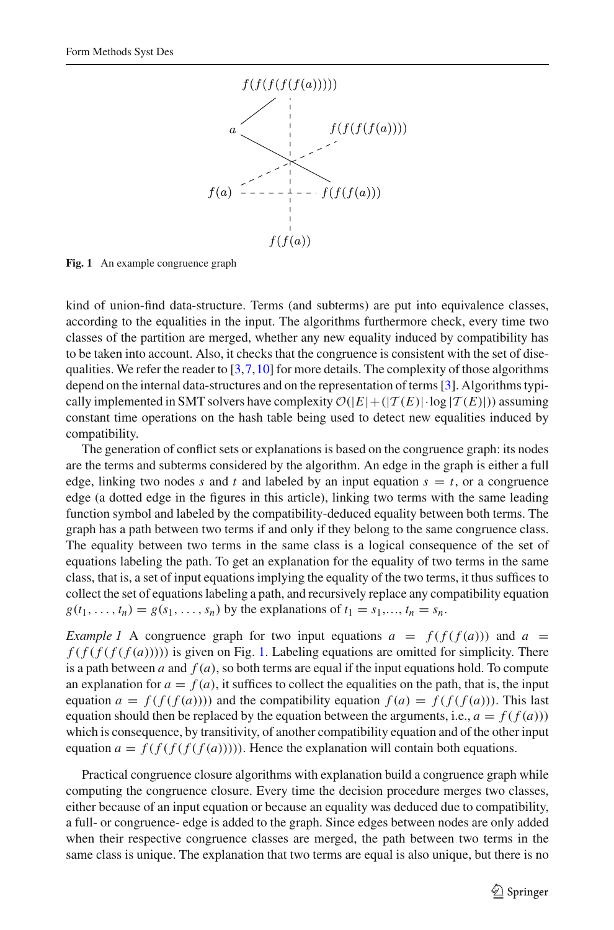

<span id="page-4-0"></span>**Fig. 1** An example congruence graph

kind of union-find data-structure. Terms (and subterms) are put into equivalence classes, according to the equalities in the input. The algorithms furthermore check, every time two classes of the partition are merged, whether any new equality induced by compatibility has to be taken into account. Also, it checks that the congruence is consistent with the set of disequalities. We refer the reader to  $[3,7,10]$  $[3,7,10]$  $[3,7,10]$  $[3,7,10]$  $[3,7,10]$  for more details. The complexity of those algorithms depend on the internal data-structures and on the representation of terms [\[3](#page-11-4)]. Algorithms typically implemented in SMT solvers have complexity  $O(|E| + (|\mathcal{T}(E)| \cdot \log |\mathcal{T}(E)|))$  assuming constant time operations on the hash table being used to detect new equalities induced by compatibility.

The generation of conflict sets or explanations is based on the congruence graph: its nodes are the terms and subterms considered by the algorithm. An edge in the graph is either a full edge, linking two nodes *s* and *t* and labeled by an input equation  $s = t$ , or a congruence edge (a dotted edge in the figures in this article), linking two terms with the same leading function symbol and labeled by the compatibility-deduced equality between both terms. The graph has a path between two terms if and only if they belong to the same congruence class. The equality between two terms in the same class is a logical consequence of the set of equations labeling the path. To get an explanation for the equality of two terms in the same class, that is, a set of input equations implying the equality of the two terms, it thus suffices to collect the set of equations labeling a path, and recursively replace any compatibility equation  $g(t_1, ..., t_n) = g(s_1, ..., s_n)$  by the explanations of  $t_1 = s_1, ..., t_n = s_n$ .

*Example 1* A congruence graph for two input equations  $a = f(f(f(a)))$  and  $a = f(f(f(a)))$  $f(f(f(f(f(a)))))$  is given on Fig. [1.](#page-4-0) Labeling equations are omitted for simplicity. There is a path between  $a$  and  $f(a)$ , so both terms are equal if the input equations hold. To compute an explanation for  $a = f(a)$ , it suffices to collect the equalities on the path, that is, the input equation  $a = f(f(f(a))))$  and the compatibility equation  $f(a) = f(f(f(a)))$ . This last equation should then be replaced by the equation between the arguments, i.e.,  $a = f(f(a))$ which is consequence, by transitivity, of another compatibility equation and of the other input equation  $a = f(f(f(f(f(a))))$ . Hence the explanation will contain both equations.

Practical congruence closure algorithms with explanation build a congruence graph while computing the congruence closure. Every time the decision procedure merges two classes, either because of an input equation or because an equality was deduced due to compatibility, a full- or congruence- edge is added to the graph. Since edges between nodes are only added when their respective congruence classes are merged, the path between two terms in the same class is unique. The explanation that two terms are equal is also unique, but there is no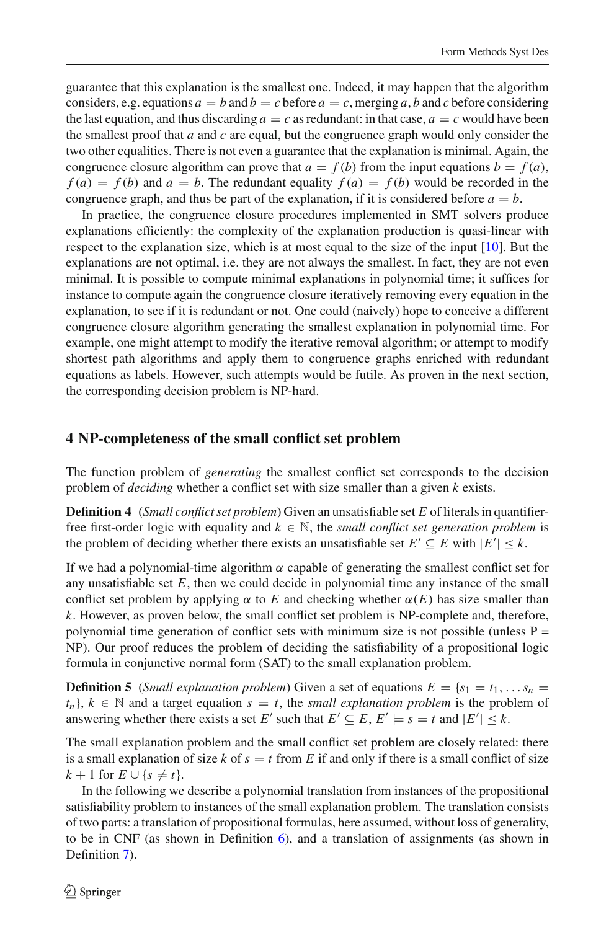guarantee that this explanation is the smallest one. Indeed, it may happen that the algorithm considers, e.g. equations  $a = b$  and  $b = c$  before  $a = c$ , merging a, b and c before considering the last equation, and thus discarding  $a = c$  as redundant: in that case,  $a = c$  would have been the smallest proof that *a* and *c* are equal, but the congruence graph would only consider the two other equalities. There is not even a guarantee that the explanation is minimal. Again, the congruence closure algorithm can prove that  $a = f(b)$  from the input equations  $b = f(a)$ ,  $f(a) = f(b)$  and  $a = b$ . The redundant equality  $f(a) = f(b)$  would be recorded in the congruence graph, and thus be part of the explanation, if it is considered before  $a = b$ .

In practice, the congruence closure procedures implemented in SMT solvers produce explanations efficiently: the complexity of the explanation production is quasi-linear with respect to the explanation size, which is at most equal to the size of the input  $[10]$ . But the explanations are not optimal, i.e. they are not always the smallest. In fact, they are not even minimal. It is possible to compute minimal explanations in polynomial time; it suffices for instance to compute again the congruence closure iteratively removing every equation in the explanation, to see if it is redundant or not. One could (naively) hope to conceive a different congruence closure algorithm generating the smallest explanation in polynomial time. For example, one might attempt to modify the iterative removal algorithm; or attempt to modify shortest path algorithms and apply them to congruence graphs enriched with redundant equations as labels. However, such attempts would be futile. As proven in the next section, the corresponding decision problem is NP-hard.

### **4 NP-completeness of the small conflict set problem**

The function problem of *generating* the smallest conflict set corresponds to the decision problem of *deciding* whether a conflict set with size smaller than a given *k* exists.

**Definition 4** (*Small conflict set problem*) Given an unsatisfiable set *E* of literals in quantifierfree first-order logic with equality and  $k \in \mathbb{N}$ , the *small conflict set generation problem* is the problem of deciding whether there exists an unsatisfiable set  $E' \subseteq E$  with  $|E'| \leq k$ .

If we had a polynomial-time algorithm  $\alpha$  capable of generating the smallest conflict set for any unsatisfiable set  $E$ , then we could decide in polynomial time any instance of the small conflict set problem by applying  $\alpha$  to *E* and checking whether  $\alpha(E)$  has size smaller than *k*. However, as proven below, the small conflict set problem is NP-complete and, therefore, polynomial time generation of conflict sets with minimum size is not possible (unless  $P =$ NP). Our proof reduces the problem of deciding the satisfiability of a propositional logic formula in conjunctive normal form (SAT) to the small explanation problem.

**Definition 5** (*Small explanation problem*) Given a set of equations  $E = \{s_1 = t_1, \ldots s_n = t_1\}$  $t_n$ ,  $k \in \mathbb{N}$  and a target equation  $s = t$ , the *small explanation problem* is the problem of answering whether there exists a set *E'* such that  $E' \subseteq E$ ,  $E' \models s = t$  and  $|E'| \le k$ .

The small explanation problem and the small conflict set problem are closely related: there is a small explanation of size  $k$  of  $s = t$  from  $E$  if and only if there is a small conflict of size  $k + 1$  for  $E \cup \{s \neq t\}.$ 

<span id="page-5-0"></span>In the following we describe a polynomial translation from instances of the propositional satisfiability problem to instances of the small explanation problem. The translation consists of two parts: a translation of propositional formulas, here assumed, without loss of generality, to be in CNF (as shown in Definition [6\)](#page-5-0), and a translation of assignments (as shown in Definition [7\)](#page-6-0).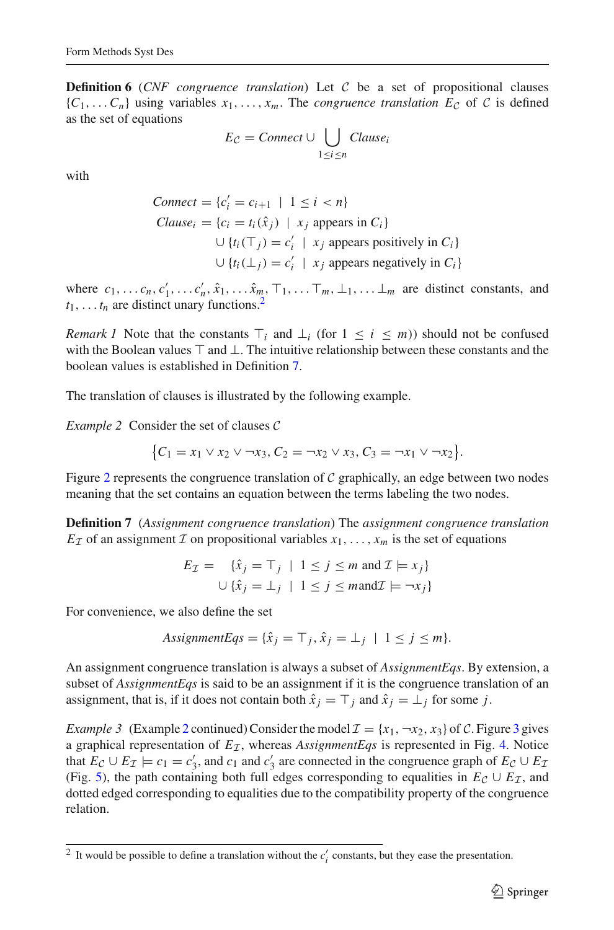**Definition 6** (*CNF congruence translation*) Let  $C$  be a set of propositional clauses  ${C_1, \ldots, C_n}$  using variables  $x_1, \ldots, x_m$ . The *congruence translation*  $E_c$  of C is defined as the set of equations

$$
E_{\mathcal{C}} = Connect \cup \bigcup_{1 \leq i \leq n} Clause_i
$$

with

$$
Connect = \{c'_i = c_{i+1} \mid 1 \leq i < n\}
$$
\n
$$
Cluster = \{c_i = t_i(\hat{x}_j) \mid x_j \text{ appears in } C_i\}
$$
\n
$$
\cup \{t_i(\top_j) = c'_i \mid x_j \text{ appears positively in } C_i\}
$$
\n
$$
\cup \{t_i(\bot_j) = c'_i \mid x_j \text{ appears negatively in } C_i\}
$$

where  $c_1, \ldots, c_n, c'_1, \ldots, c'_n, \hat{x}_1, \ldots, \hat{x}_m, \top_1, \ldots, \top_m, \bot_1, \ldots, \bot_m$  are distinct constants, and  $t_1, \ldots t_n$  are distinct unary functions.<sup>2</sup>

*Remark 1* Note that the constants  $\top_i$  and  $\bot_i$  (for  $1 \leq i \leq m$ )) should not be confused with the Boolean values  $\top$  and  $\bot$ . The intuitive relationship between these constants and the boolean values is established in Definition [7.](#page-6-0)

<span id="page-6-2"></span>The translation of clauses is illustrated by the following example.

*Example 2* Consider the set of clauses *C*

$$
\{C_1 = x_1 \vee x_2 \vee \neg x_3, C_2 = \neg x_2 \vee x_3, C_3 = \neg x_1 \vee \neg x_2\}.
$$

Figure [2](#page-7-0) represents the congruence translation of *C* graphically, an edge between two nodes meaning that the set contains an equation between the terms labeling the two nodes.

<span id="page-6-0"></span>**Definition 7** (*Assignment congruence translation*) The *assignment congruence translation*  $E_{\mathcal{I}}$  of an assignment  $\mathcal{I}$  on propositional variables  $x_1, \ldots, x_m$  is the set of equations

$$
E_{\mathcal{I}} = \{ \hat{x}_j = \top_j \mid 1 \le j \le m \text{ and } \mathcal{I} \models x_j \}
$$
  

$$
\cup \{ \hat{x}_j = \bot_j \mid 1 \le j \le m \text{ and } \mathcal{I} \models \neg x_j \}
$$

For convenience, we also define the set

$$
AssignmentEqs = {\hat{x}}_j = \top_j, \hat{x}_j = \bot_j \mid 1 \le j \le m.
$$

An assignment congruence translation is always a subset of *AssignmentEqs*. By extension, a subset of *AssignmentEqs* is said to be an assignment if it is the congruence translation of an assignment, that is, if it does not contain both  $\hat{x}_j = T_j$  and  $\hat{x}_j = \perp_j$  for some *j*.

<span id="page-6-3"></span>*Example [3](#page-7-1)* (Example [2](#page-6-2) continued) Consider the model  $\mathcal{I} = \{x_1, \neg x_2, x_3\}$  of *C*. Figure 3 gives a graphical representation of  $E<sub>T</sub>$ , whereas *AssignmentEqs* is represented in Fig. [4.](#page-7-2) Notice that  $E_c \cup E_{\mathcal{I}} \models c_1 = c'_3$ , and  $c_1$  and  $c'_3$  are connected in the congruence graph of  $E_c \cup E_{\mathcal{I}}$ (Fig. [5\)](#page-7-3), the path containing both full edges corresponding to equalities in  $E_c \cup E_{\mathcal{I}}$ , and dotted edged corresponding to equalities due to the compatibility property of the congruence relation.

<span id="page-6-4"></span><span id="page-6-1"></span><sup>&</sup>lt;sup>2</sup> It would be possible to define a translation without the  $c_i$  constants, but they ease the presentation.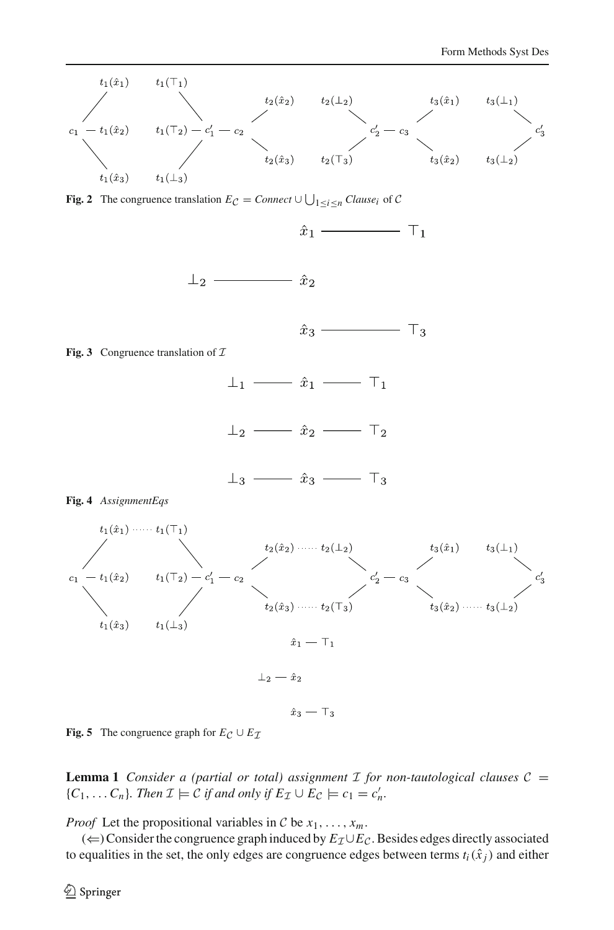

<span id="page-7-0"></span>**Fig. 2** The congruence translation  $E_{\mathcal{C}} =$  *Connect*  $\cup \bigcup_{1 \leq i \leq n}$  *Clause<sub>i</sub>* of *C* 

<span id="page-7-1"></span>

<span id="page-7-3"></span><span id="page-7-2"></span>**Fig. 5** The congruence graph for  $E_C \cup E_{\mathcal{I}}$ 

**Lemma 1** *Consider a (partial or total) assignment*  $\mathcal I$  *for non-tautological clauses*  $\mathcal C$  =  ${C_1, \ldots, C_n}$ *. Then*  $\mathcal{I} \models \mathcal{C}$  *if and only if*  $E_{\mathcal{I}} \cup E_{\mathcal{C}} \models c_1 = c'_n$ *.* 

*Proof* Let the propositional variables in *C* be  $x_1, \ldots, x_m$ .

(⇐) Consider the congruence graph induced by *EI*∪*EC*. Besides edges directly associated to equalities in the set, the only edges are congruence edges between terms  $t_i(\hat{x}_i)$  and either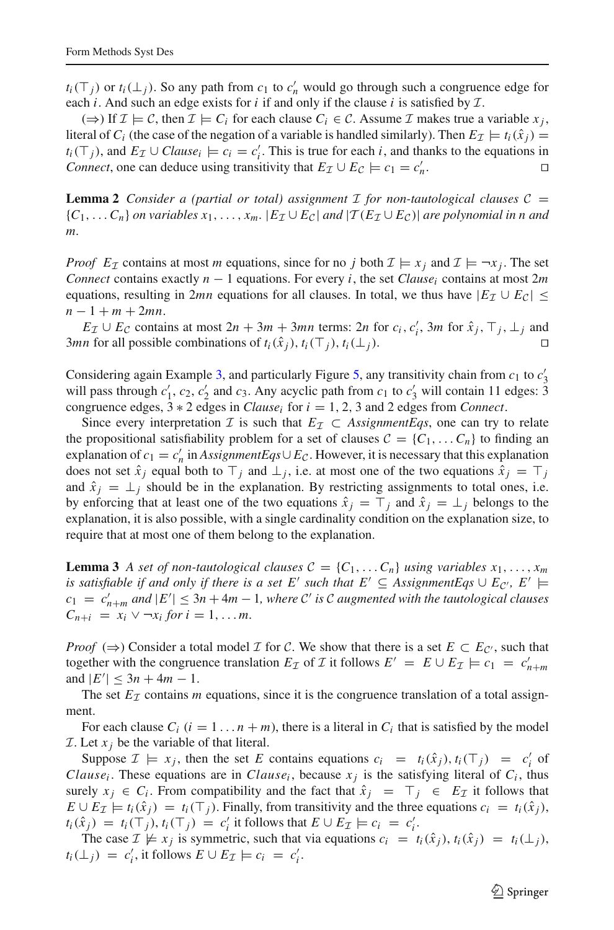*t<sub>i</sub>*( $\top$ *j*) or *t<sub>i</sub>*( $\bot$ *j*). So any path from *c*<sub>1</sub> to *c*<sub>*n*</sub><sup>*n*</sup> would go through such a congruence edge for each *i*. And such an edge exists for *i* if and only if the clause *i* is satisfied by *I*.

(⇒) If  $\mathcal{I} \models \mathcal{C}$ , then  $\mathcal{I} \models C_i$  for each clause  $C_i \in \mathcal{C}$ . Assume  $\mathcal{I}$  makes true a variable  $x_i$ , literal of *C<sub>i</sub>* (the case of the negation of a variable is handled similarly). Then  $E_{\mathcal{I}} \models t_i(\hat{x}_i) =$ *t<sub>i</sub>*( $\top$ *j*), and *E*<sub>*I*</sub> ∪ *Clause<sub>i</sub>*  $\models$  *c<sub>i</sub>* = *c<sub>i</sub>*<sup>*:*</sup>. This is true for each *i*, and thanks to the equations in *Connect*, one can deduce using transitivity that  $E_{\mathcal{I}} \cup E_{\mathcal{C}} \models c_1 = c'_n$ .  $n<sub>n</sub>$ .

**Lemma 2** *Consider a (partial or total) assignment I for non-tautological clauses*  $C =$  ${C_1, \ldots, C_n}$  *on variables*  $x_1, \ldots, x_m$ .  ${E_{\mathcal{I}}} \cup {E_{\mathcal{C}}}$  *and*  $|{\mathcal{T}}(E_{\mathcal{I}} \cup E_{\mathcal{C}})|$  *are polynomial in n and m.*

*Proof E<sub>I</sub>* contains at most *m* equations, since for no *j* both  $\mathcal{I} \models x_i$  and  $\mathcal{I} \models \neg x_i$ . The set *Connect* contains exactly  $n - 1$  equations. For every *i*, the set *Clause<sub>i</sub>* contains at most 2*m* equations, resulting in 2*mn* equations for all clauses. In total, we thus have  $|E_I \cup E_C|$ *n* − 1 + *m* + 2*mn*.

 $E_{\mathcal{I}} \cup E_{\mathcal{C}}$  contains at most  $2n + 3m + 3mn$  terms:  $2n$  for  $c_i$ ,  $c'_i$ ,  $3m$  for  $\hat{x}_j$ ,  $\top_j$ ,  $\bot_j$  and *3mn* for all possible combinations of  $t_i(\hat{x}_i)$ ,  $t_i(\top_i)$ ,  $t_i(\bot_i)$ . □

Considering again Example [3,](#page-6-3) and particularly Figure [5,](#page-7-3) any transitivity chain from  $c_1$  to  $c'_3$ will pass through  $c'_1$ ,  $c_2$ ,  $c'_2$  and  $c_3$ . Any acyclic path from  $c_1$  to  $c'_3$  will contain 11 edges: 3 congruence edges,  $3 * 2$  edges in *Clause<sub>i</sub>* for  $i = 1, 2, 3$  and 2 edges from *Connect*.

Since every interpretation *I* is such that  $E_{\mathcal{I}} \subset$  *AssignmentEqs*, one can try to relate the propositional satisfiability problem for a set of clauses  $C = \{C_1, \ldots, C_n\}$  to finding an explanation of  $c_1 = c'_n$  in *AssignmentEqs*∪  $E_c$ . However, it is necessary that this explanation does not set  $\hat{x}_i$  equal both to  $\top_i$  and  $\bot_i$ , i.e. at most one of the two equations  $\hat{x}_i = \top_i$ and  $\hat{x}_i = \perp_i$  should be in the explanation. By restricting assignments to total ones, i.e. by enforcing that at least one of the two equations  $\hat{x}_i = T_i$  and  $\hat{x}_i = \perp_i$  belongs to the explanation, it is also possible, with a single cardinality condition on the explanation size, to require that at most one of them belong to the explanation.

<span id="page-8-0"></span>**Lemma 3** *A set of non-tautological clauses*  $C = \{C_1, \ldots, C_n\}$  *using variables*  $x_1, \ldots, x_m$ *is satisfiable if and only if there is a set E' such that*  $E' \subseteq$  *AssignmentEqs*  $\cup$   $E_{\mathcal{C}}$ *, E'*  $\models$  $c_1 = c'_{n+m}$  and  $|E'| \leq 3n + 4m - 1$ , where *C'* is *C* augmented with the tautological clauses  $C_{n+i} = x_i \vee \neg x_i$  *for*  $i = 1, \ldots m$ .

*Proof*  $(\Rightarrow)$  Consider a total model *I* for *C*. We show that there is a set  $E \subset E_{\mathcal{C}}$ , such that together with the congruence translation  $E_{\mathcal{I}}$  of  $\mathcal{I}$  it follows  $E' = E \cup E_{\mathcal{I}} \models c_1 = c'_{n+m}$ and  $|E'| \leq 3n + 4m - 1$ .

The set  $E_{\mathcal{I}}$  contains *m* equations, since it is the congruence translation of a total assignment.

For each clause  $C_i$  ( $i = 1...n + m$ ), there is a literal in  $C_i$  that is satisfied by the model *I*. Let  $x_j$  be the variable of that literal.

Suppose  $\mathcal{I} \models x_j$ , then the set *E* contains equations  $c_i = t_i(\hat{x}_j)$ ,  $t_i(\top_j) = c'_i$  of *Clause<sub>i</sub>*. These equations are in *Clause<sub>i</sub>*, because  $x_j$  is the satisfying literal of  $C_i$ , thus surely  $x_j \in C_i$ . From compatibility and the fact that  $\hat{x}_j = T_j \in E_{\mathcal{I}}$  it follows that  $E \cup E_{\mathcal{I}} \models t_i(\hat{x}_i) = t_i(\top_i)$ . Finally, from transitivity and the three equations  $c_i = t_i(\hat{x}_i)$ ,  $t_i(\hat{x}_j) = t_i(\top_j), t_i(\top_j) = c'_i$  it follows that  $E \cup E_{\mathcal{I}} \models c_i = c'_i$ .

The case  $\mathcal{I} \not\models x_i$  is symmetric, such that via equations  $c_i = t_i(\hat{x}_i)$ ,  $t_i(\hat{x}_i) = t_i(\perp_i)$ ,  $t_i(\perp_j) = c'_i$ , it follows  $E \cup E_{\mathcal{I}} \models c_i = c'_i$ .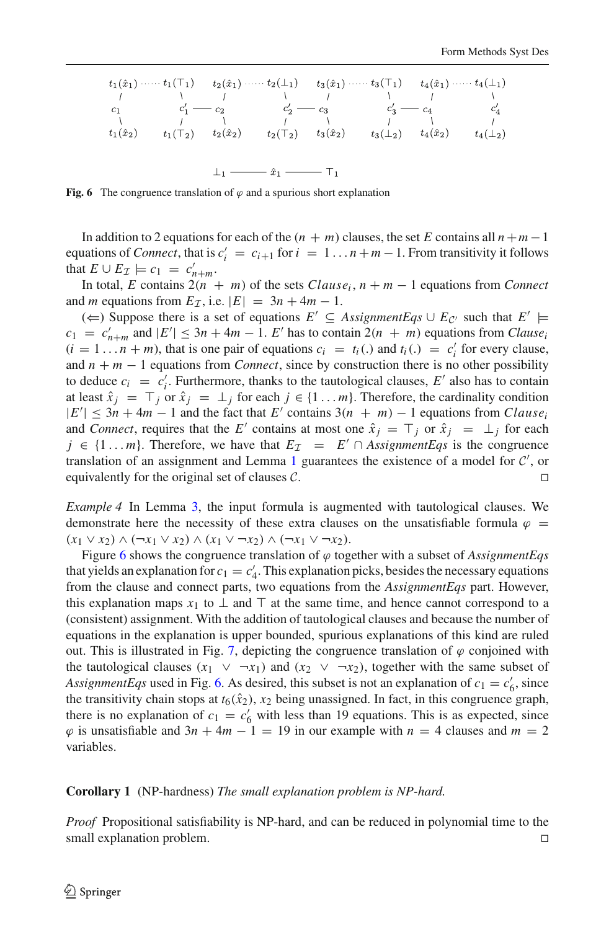$$
t_{1}(\hat{x}_{1}) \cdots \cdots t_{1}(\top_{1}) \qquad t_{2}(\hat{x}_{1}) \cdots \cdots t_{2}(\bot_{1}) \qquad t_{3}(\hat{x}_{1}) \cdots \cdots t_{3}(\top_{1}) \qquad t_{4}(\hat{x}_{1}) \cdots \cdots t_{4}(\bot_{1})
$$
\n
$$
t_{1} \qquad \begin{array}{ccc}\n t_{1} & t_{1} & t_{1} & t_{1} & t_{1} & t_{1} & t_{1} & t_{1} \\
t_{2} & t_{2} & t_{2} & t_{2} & t_{2} & t_{2} & t_{2} \\
t_{3} & t_{3} & t_{3} & t_{3} & t_{3} & t_{3} \\
t_{4}(\hat{x}_{2}) & t_{4}(\top_{2}) & t_{2}(\hat{x}_{2}) & t_{3}(\hat{x}_{2}) & t_{3}(\bot_{2}) & t_{4}(\hat{x}_{2}) & t_{4}(\bot_{2})\n\end{array}
$$
\n
$$
t_{1} \qquad \begin{array}{ccc}\n t_{2} & t_{2} & t_{2} & t_{2} & t_{2} & t_{2} & t_{2} \\
t_{3} & t_{3} & t_{3} & t_{3} & t_{3} & t_{3} \\
t_{4} & t_{4} & t_{4} & t_{4} & t_{4}\n\end{array}
$$

<span id="page-9-0"></span>**Fig. 6** The congruence translation of  $\varphi$  and a spurious short explanation

In addition to 2 equations for each of the  $(n + m)$  clauses, the set *E* contains all  $n + m - 1$ equations of *Connect*, that is  $c_i' = c_{i+1}$  for  $i = 1...n+m-1$ . From transitivity it follows that  $E \cup E_{\mathcal{I}} \models c_1 = c'_{n+m}$ .

In total, *E* contains  $2(n + m)$  of the sets *Clause<sub>i</sub>*,  $n + m - 1$  equations from *Connect* and *m* equations from  $E_{\mathcal{I}}$ , i.e.  $|E| = 3n + 4m - 1$ .

(←) Suppose there is a set of equations  $E' \subseteq \text{AssignmentEqs} \cup E_{\mathcal{C}'}$  such that  $E' \models$  $c_1 = c'_{n+m}$  and  $|E'| \leq 3n + 4m - 1$ . *E'* has to contain  $2(n + m)$  equations from *Clause*<sup>1</sup>  $(i = 1 ... n + m)$ , that is one pair of equations  $c_i = t_i(.)$  and  $t_i(.) = c'_i$  for every clause, and  $n + m - 1$  equations from *Connect*, since by construction there is no other possibility to deduce  $c_i = c'_i$ . Furthermore, thanks to the tautological clauses,  $E'$  also has to contain at least  $\hat{x}_j = \top_j$  or  $\hat{x}_j = \bot_j$  for each  $j \in \{1 \dots m\}$ . Therefore, the cardinality condition  $|E'| \leq 3n + 4m - 1$  and the fact that *E'* contains  $3(n + m) - 1$  equations from *Clause*<sub>i</sub> and *Connect*, requires that the *E'* contains at most one  $\hat{x}_j = \top_j$  or  $\hat{x}_j = \bot_j$  for each *j* ∈ {1...*m*}. Therefore, we have that  $E_{\mathcal{I}}$  =  $E' \cap \text{AssignmentEqs}$  is the congruence translation of an assignment and Lemma [1](#page-6-4) guarantees the existence of a model for *C* , or equivalently for the original set of clauses *C*.

*Example 4* In Lemma [3,](#page-8-0) the input formula is augmented with tautological clauses. We demonstrate here the necessity of these extra clauses on the unsatisfiable formula  $\varphi$  =  $(x_1 \vee x_2) \wedge (\neg x_1 \vee x_2) \wedge (x_1 \vee \neg x_2) \wedge (\neg x_1 \vee \neg x_2).$ 

Figure [6](#page-9-0) shows the congruence translation of  $\varphi$  together with a subset of *AssignmentEqs* that yields an explanation for  $c_1 = c'_4$ . This explanation picks, besides the necessary equations from the clause and connect parts, two equations from the *AssignmentEqs* part. However, this explanation maps  $x_1$  to  $\perp$  and  $\top$  at the same time, and hence cannot correspond to a (consistent) assignment. With the addition of tautological clauses and because the number of equations in the explanation is upper bounded, spurious explanations of this kind are ruled out. This is illustrated in Fig. [7,](#page-10-0) depicting the congruence translation of  $\varphi$  conjoined with the tautological clauses  $(x_1 \lor \neg x_1)$  and  $(x_2 \lor \neg x_2)$ , together with the same subset of *AssignmentEqs* used in Fig. [6.](#page-9-0) As desired, this subset is not an explanation of  $c_1 = c'_6$ , since the transitivity chain stops at  $t_6(\hat{x}_2)$ ,  $x_2$  being unassigned. In fact, in this congruence graph, there is no explanation of  $c_1 = c'_6$  with less than 19 equations. This is as expected, since  $\varphi$  is unsatisfiable and  $3n + 4m - 1 = 19$  in our example with  $n = 4$  clauses and  $m = 2$ variables.

#### <span id="page-9-1"></span>**Corollary 1** (NP-hardness) *The small explanation problem is NP-hard.*

*Proof* Propositional satisfiability is NP-hard, and can be reduced in polynomial time to the small explanation problem.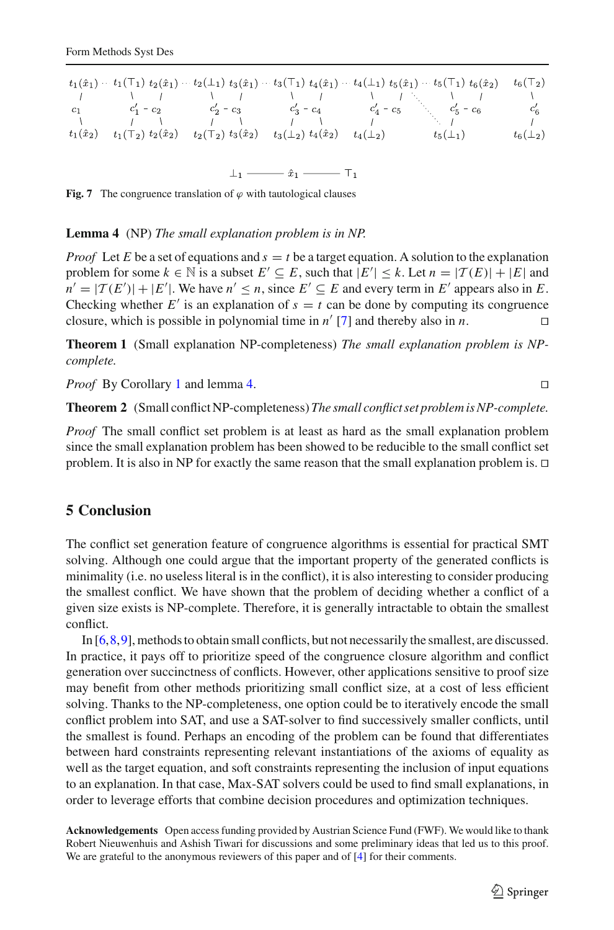$$
t_{1}(\hat{x}_{1}) \cdots t_{1}(\top_{1}) t_{2}(\hat{x}_{1}) \cdots t_{2}(\bot_{1}) t_{3}(\hat{x}_{1}) \cdots t_{3}(\top_{1}) t_{4}(\hat{x}_{1}) \cdots t_{4}(\bot_{1}) t_{5}(\hat{x}_{1}) \cdots t_{5}(\top_{1}) t_{6}(\hat{x}_{2}) \qquad t_{6}(\top_{2})
$$
  
\n
$$
t_{1} \qquad t_{1} \qquad t_{2} \qquad t_{3} \qquad t_{4} \qquad t_{5} \qquad t_{6} \qquad t_{7} \qquad t_{8} \qquad t_{9} \qquad t_{1} \qquad t_{1} \qquad t_{1} \qquad t_{1} \qquad t_{1} \qquad t_{2} \qquad t_{3} \qquad t_{2} \qquad t_{3} \qquad t_{3} \qquad t_{3} \qquad t_{2} \qquad t_{3} \qquad t_{4} \qquad t_{2} \qquad t_{4} \qquad t_{4} \qquad t_{5} \qquad t_{5} \qquad t_{6} \qquad t_{6} \qquad t_{7} \qquad t_{8} \qquad t_{9} \qquad t_{1} \qquad t_{1} \qquad t_{1} \qquad t_{2} \qquad t_{3} \qquad t_{2} \qquad t_{3} \qquad t_{3} \qquad t_{2} \qquad t_{4} \qquad t_{2} \qquad t_{4} \qquad t_{4} \qquad t_{5} \qquad t_{5} \qquad t_{6} \qquad t_{6} \qquad t_{2} \qquad t_{3} \qquad t_{7} \qquad t_{8} \qquad t_{9} \qquad t_{1} \qquad t_{1} \qquad t_{1} \qquad t_{1} \qquad t_{1} \qquad t_{1} \qquad t_{2} \qquad t_{3} \qquad t_{1} \qquad t_{2} \qquad t_{3} \qquad t_{3} \qquad t_{4} \qquad t_{5} \qquad t_{5} \qquad t_{6} \qquad t_{7} \qquad t_{8} \qquad t_{9} \qquad t_{1} \qquad t_{1} \qquad t_{1} \qquad t_{1} \qquad t_{1} \qquad t_{2} \qquad t_{3} \qquad t_{3} \qquad t_{4} \qquad t_{5} \qquad t_{5} \qquad t_{6} \qquad t_{7} \q
$$

<span id="page-10-0"></span>**Fig. 7** The congruence translation of  $\varphi$  with tautological clauses

#### <span id="page-10-1"></span>**Lemma 4** (NP) *The small explanation problem is in NP.*

*Proof* Let *E* be a set of equations and  $s = t$  be a target equation. A solution to the explanation problem for some  $k \in \mathbb{N}$  is a subset  $E' \subseteq E$ , such that  $|E'| \leq k$ . Let  $n = |\mathcal{T}(E)| + |E|$  and  $n' = |T(E')| + |E'|$ . We have  $n' \le n$ , since  $E' \subseteq E$  and every term in  $E'$  appears also in *E*. Checking whether *E'* is an explanation of  $s = t$  can be done by computing its congruence closure, which is possible in polynomial time in  $n'$  [7] and thereby also in  $n$ . closure, which is possible in polynomial time in  $n'$  [\[7\]](#page-11-5) and thereby also in *n*.

**Theorem 1** (Small explanation NP-completeness) *The small explanation problem is NPcomplete.*

*Proof* By Corollary [1](#page-9-1) and lemma [4.](#page-10-1) □

**Theorem 2** (Small conflict NP-completeness) *The small conflict set problem is NP-complete.*

*Proof* The small conflict set problem is at least as hard as the small explanation problem since the small explanation problem has been showed to be reducible to the small conflict set problem. It is also in NP for exactly the same reason that the small explanation problem is.  $\Box$ 

### **5 Conclusion**

The conflict set generation feature of congruence algorithms is essential for practical SMT solving. Although one could argue that the important property of the generated conflicts is minimality (i.e. no useless literal is in the conflict), it is also interesting to consider producing the smallest conflict. We have shown that the problem of deciding whether a conflict of a given size exists is NP-complete. Therefore, it is generally intractable to obtain the smallest conflict.

In [\[6,](#page-11-6)[8,](#page-11-1)[9](#page-11-2)], methods to obtain small conflicts, but not necessarily the smallest, are discussed. In practice, it pays off to prioritize speed of the congruence closure algorithm and conflict generation over succinctness of conflicts. However, other applications sensitive to proof size may benefit from other methods prioritizing small conflict size, at a cost of less efficient solving. Thanks to the NP-completeness, one option could be to iteratively encode the small conflict problem into SAT, and use a SAT-solver to find successively smaller conflicts, until the smallest is found. Perhaps an encoding of the problem can be found that differentiates between hard constraints representing relevant instantiations of the axioms of equality as well as the target equation, and soft constraints representing the inclusion of input equations to an explanation. In that case, Max-SAT solvers could be used to find small explanations, in order to leverage efforts that combine decision procedures and optimization techniques.

**Acknowledgements** Open access funding provided by Austrian Science Fund (FWF). We would like to thank Robert Nieuwenhuis and Ashish Tiwari for discussions and some preliminary ideas that led us to this proof. We are grateful to the anonymous reviewers of this paper and of  $[4]$  for their comments.